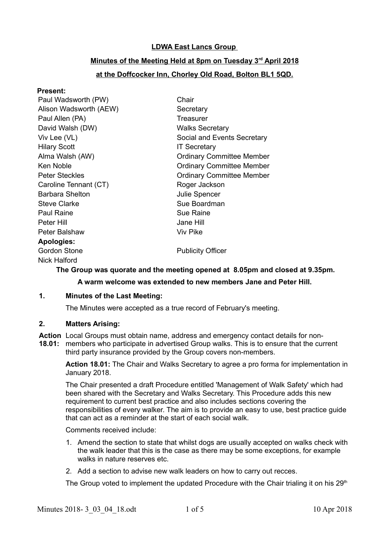# **LDWA East Lancs Group**

# **Minutes of the Meeting Held at 8pm on Tuesday 3rd April 2018**

# **at the Doffcocker Inn, Chorley Old Road, Bolton BL1 5QD.**

#### **Present:**

| Paul Wadsworth (PW)        | Chair                                                |
|----------------------------|------------------------------------------------------|
| Alison Wadsworth (AEW)     | Secretary                                            |
| Paul Allen (PA)            | Treasurer                                            |
| David Walsh (DW)           | <b>Walks Secretary</b>                               |
| Viv Lee (VL)               | Social and Events Secretary                          |
| <b>Hilary Scott</b>        | <b>IT Secretary</b>                                  |
| Alma Walsh (AW)            | <b>Ordinary Committee Member</b>                     |
| Ken Noble                  | <b>Ordinary Committee Member</b>                     |
| <b>Peter Steckles</b>      | <b>Ordinary Committee Member</b>                     |
| Caroline Tennant (CT)      | Roger Jackson                                        |
| <b>Barbara Shelton</b>     | Julie Spencer                                        |
| <b>Steve Clarke</b>        | Sue Boardman                                         |
| Paul Raine                 | <b>Sue Raine</b>                                     |
| Peter Hill                 | Jane Hill                                            |
| <b>Peter Balshaw</b>       | Viv Pike                                             |
| <b>Apologies:</b>          |                                                      |
| <b>Gordon Stone</b>        | <b>Publicity Officer</b>                             |
| Nick Halford               |                                                      |
| $T_{max}$ $\sum_{i=1}^{n}$ | , ausanata anal tha measting ananael at O OEnne anal |

**The Group was quorate and the meeting opened at 8.05pm and closed at 9.35pm.**

# **A warm welcome was extended to new members Jane and Peter Hill.**

# **1. Minutes of the Last Meeting:**

The Minutes were accepted as a true record of February's meeting.

# **2. Matters Arising:**

**Action** Local Groups must obtain name, address and emergency contact details for non-

**18.01:** members who participate in advertised Group walks. This is to ensure that the current third party insurance provided by the Group covers non-members.

**Action 18.01:** The Chair and Walks Secretary to agree a pro forma for implementation in January 2018.

The Chair presented a draft Procedure entitled 'Management of Walk Safety' which had been shared with the Secretary and Walks Secretary. This Procedure adds this new requirement to current best practice and also includes sections covering the responsibilities of every walker. The aim is to provide an easy to use, best practice guide that can act as a reminder at the start of each social walk.

Comments received include:

- 1. Amend the section to state that whilst dogs are usually accepted on walks check with the walk leader that this is the case as there may be some exceptions, for example walks in nature reserves etc.
- 2. Add a section to advise new walk leaders on how to carry out recces.

The Group voted to implement the updated Procedure with the Chair trialing it on his  $29<sup>th</sup>$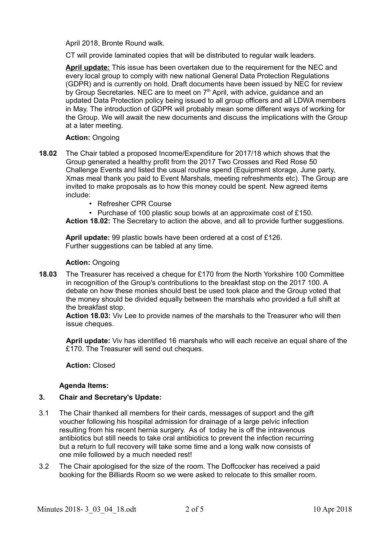April 2018, Bronte Round walk.

CT will provide laminated copies that will be distributed to regular walk leaders.

**April update:** This issue has been overtaken due to the requirement for the NEC and every local group to comply with new national General Data Protection Regulations (GDPR) and is currently on hold. Draft documents have been issued by NEC for review by Group Secretaries. NEC are to meet on 7<sup>th</sup> April, with advice, guidance and an updated Data Protection policy being issued to all group officers and all LDWA members in May. The introduction of GDPR will probably mean some different ways of working for the Group. We will await the new documents and discuss the implications with the Group at a later meeting.

# **Action:** Ongoing

- **18.02** The Chair tabled a proposed Income/Expenditure for 2017/18 which shows that the Group generated a healthy profit from the 2017 Two Crosses and Red Rose 50 Challenge Events and listed the usual routine spend (Equipment storage, June party, Xmas meal thank you paid to Event Marshals, meeting refreshments etc). The Group are invited to make proposals as to how this money could be spent. New agreed items include:
	- Refresher CPR Course
	- Purchase of 100 plastic soup bowls at an approximate cost of £150.

**Action 18.02:** The Secretary to action the above, and all to provide further suggestions.

**April update:** 99 plastic bowls have been ordered at a cost of £126. Further suggestions can be tabled at any time.

#### **Action:** Ongoing

**18.03** The Treasurer has received a cheque for £170 from the North Yorkshire 100 Committee in recognition of the Group's contributions to the breakfast stop on the 2017 100. A debate on how these monies should best be used took place and the Group voted that the money should be divided equally between the marshals who provided a full shift at the breakfast stop.

**Action 18.03:** Viv Lee to provide names of the marshals to the Treasurer who will then issue cheques.

**April update:** Viv has identified 16 marshals who will each receive an equal share of the £170. The Treasurer will send out cheques.

**Action:** Closed

#### **Agenda Items:**

# **3. Chair and Secretary's Update:**

- 3.1 The Chair thanked all members for their cards, messages of support and the gift voucher following his hospital admission for drainage of a large pelvic infection resulting from his recent hernia surgery. As of today he is off the intravenous antibiotics but still needs to take oral antibiotics to prevent the infection recurring but a return to full recovery will take some time and a long walk now consists of one mile followed by a much needed rest!
- 3.2 The Chair apologised for the size of the room. The Doffcocker has received a paid booking for the Billiards Room so we were asked to relocate to this smaller room.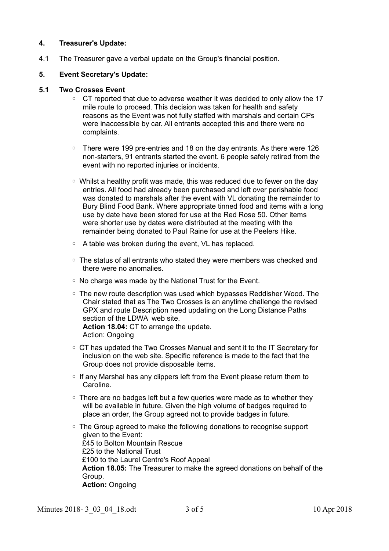# **4. Treasurer's Update:**

4.1 The Treasurer gave a verbal update on the Group's financial position.

# **5. Event Secretary's Update:**

## **5.1 Two Crosses Event**

- CT reported that due to adverse weather it was decided to only allow the 17 mile route to proceed. This decision was taken for health and safety reasons as the Event was not fully staffed with marshals and certain CPs were inaccessible by car. All entrants accepted this and there were no complaints.
- There were 199 pre-entries and 18 on the day entrants. As there were 126 non-starters, 91 entrants started the event. 6 people safely retired from the event with no reported injuries or incidents.
- Whilst a healthy profit was made, this was reduced due to fewer on the day entries. All food had already been purchased and left over perishable food was donated to marshals after the event with VL donating the remainder to Bury Blind Food Bank. Where appropriate tinned food and items with a long use by date have been stored for use at the Red Rose 50. Other items were shorter use by dates were distributed at the meeting with the remainder being donated to Paul Raine for use at the Peelers Hike.
- A table was broken during the event, VL has replaced.
- The status of all entrants who stated they were members was checked and there were no anomalies.
- No charge was made by the National Trust for the Event.
- The new route description was used which bypasses Reddisher Wood. The Chair stated that as The Two Crosses is an anytime challenge the revised GPX and route Description need updating on the Long Distance Paths section of the LDWA web site.

**Action 18.04:** CT to arrange the update. Action: Ongoing

- CT has updated the Two Crosses Manual and sent it to the IT Secretary for inclusion on the web site. Specific reference is made to the fact that the Group does not provide disposable items.
- If any Marshal has any clippers left from the Event please return them to Caroline.
- There are no badges left but a few queries were made as to whether they will be available in future. Given the high volume of badges required to place an order, the Group agreed not to provide badges in future.
- The Group agreed to make the following donations to recognise support given to the Event: £45 to Bolton Mountain Rescue £25 to the National Trust £100 to the Laurel Centre's Roof Appeal **Action 18.05:** The Treasurer to make the agreed donations on behalf of the Group. **Action:** Ongoing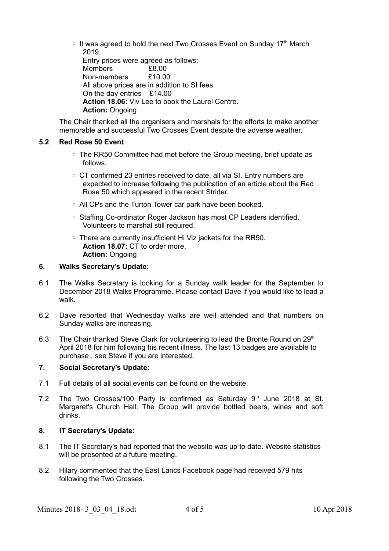○ It was agreed to hold the next Two Crosses Event on Sunday 17<sup>th</sup> March 2019. Entry prices were agreed as follows: Members **£8.00** Non-members  $\overline{f}$ 10.00 All above prices are in addition to SI fees On the day entries £14.00 **Action 18.06:** Viv Lee to book the Laurel Centre. **Action:** Ongoing

The Chair thanked all the organisers and marshals for the efforts to make another memorable and successful Two Crosses Event despite the adverse weather.

# **5.2 Red Rose 50 Event**

- The RR50 Committee had met before the Group meeting, brief update as follows:
- CT confirmed 23 entries received to date, all via SI. Entry numbers are expected to increase following the publication of an article about the Red Rose 50 which appeared in the recent Strider.
- All CPs and the Turton Tower car park have been booked.
- Staffing Co-ordinator Roger Jackson has most CP Leaders identified. Volunteers to marshal still required.
- There are currently insufficient Hi Viz jackets for the RR50. **Action 18.07:** CT to order more. **Action:** Ongoing

# **6. Walks Secretary's Update:**

- 6.1 The Walks Secretary is looking for a Sunday walk leader for the September to December 2018 Walks Programme. Please contact Dave if you would like to lead a walk.
- 6.2 Dave reported that Wednesday walks are well attended and that numbers on Sunday walks are increasing.
- 6,3 The Chair thanked Steve Clark for volunteering to lead the Bronte Round on  $29<sup>th</sup>$ April 2018 for him following his recent illness. The last 13 badges are available to purchase , see Steve if you are interested.

#### **7. Social Secretary's Update:**

- 7.1 Full details of all social events can be found on the website.
- 7.2 The Two Crosses/100 Party is confirmed as Saturday  $9<sup>th</sup>$  June 2018 at St. Margaret's Church Hall. The Group will provide bottled beers, wines and soft drinks.

#### **8. IT Secretary's Update:**

- 8.1 The IT Secretary's had reported that the website was up to date. Website statistics will be presented at a future meeting.
- 8.2 Hilary commented that the East Lancs Facebook page had received 579 hits following the Two Crosses.